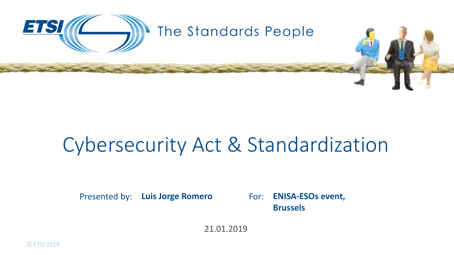

## Cybersecurity Act & Standardization

Presented by: Luis Jorge Romero For: ENISA-ESOs event, **Brussels**

21.01.2019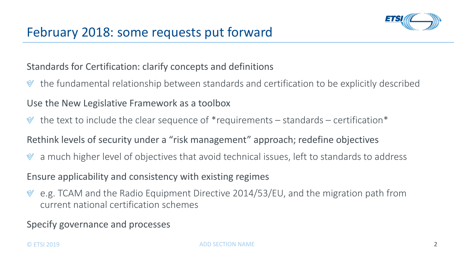

## Standards for Certification: clarify concepts and definitions

the fundamental relationship between standards and certification to be explicitly described

## Use the New Legislative Framework as a toolbox

the text to include the clear sequence of \*requirements – standards – certification\*

Rethink levels of security under a "risk management" approach; redefine objectives

a much higher level of objectives that avoid technical issues, left to standards to address

Ensure applicability and consistency with existing regimes

e.g. TCAM and the Radio Equipment Directive 2014/53/EU, and the migration path from  $\mathbb{V}$ current national certification schemes

Specify governance and processes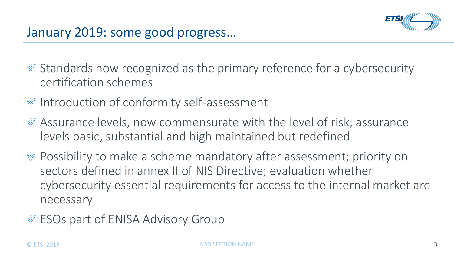- $\mathcal Y$  Standards now recognized as the primary reference for a cybersecurity certification schemes
- $\mathcal Y$  Introduction of conformity self-assessment
- $\mathcal Y$  Assurance levels, now commensurate with the level of risk; assurance levels basic, substantial and high maintained but redefined
- Possibility to make a scheme mandatory after assessment; priority on sectors defined in annex II of NIS Directive; evaluation whether cybersecurity essential requirements for access to the internal market are necessary
- ESOs part of ENISA Advisory Group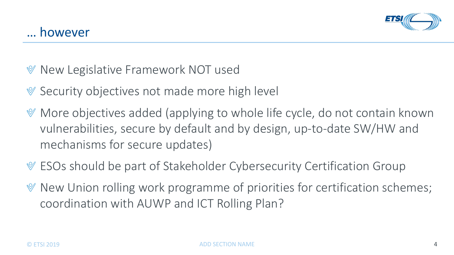- $\mathcal Y$  New Legislative Framework NOT used
- $\mathcal V$  Security objectives not made more high level
- More objectives added (applying to whole life cycle, do not contain known vulnerabilities, secure by default and by design, up-to-date SW/HW and mechanisms for secure updates)
- ESOs should be part of Stakeholder Cybersecurity Certification Group
- $\mathcal V$  New Union rolling work programme of priorities for certification schemes; coordination with AUWP and ICT Rolling Plan?